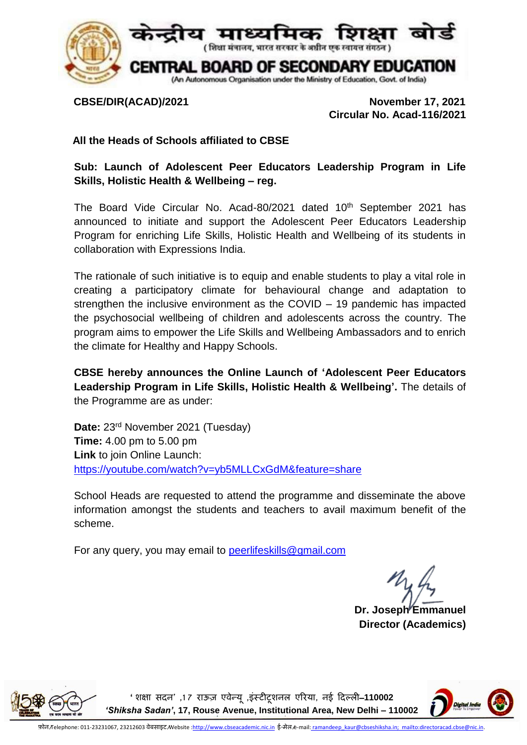

 **CBSE/DIR(ACAD)/2021 November 17, 2021 Circular No. Acad-116/2021**

## **All the Heads of Schools affiliated to CBSE**

**Sub: Launch of Adolescent Peer Educators Leadership Program in Life Skills, Holistic Health & Wellbeing – reg.**

The Board Vide Circular No. Acad-80/2021 dated 10<sup>th</sup> September 2021 has announced to initiate and support the Adolescent Peer Educators Leadership Program for enriching Life Skills, Holistic Health and Wellbeing of its students in collaboration with Expressions India.

The rationale of such initiative is to equip and enable students to play a vital role in creating a participatory climate for behavioural change and adaptation to strengthen the inclusive environment as the COVID – 19 pandemic has impacted the psychosocial wellbeing of children and adolescents across the country. The program aims to empower the Life Skills and Wellbeing Ambassadors and to enrich the climate for Healthy and Happy Schools.

**CBSE hereby announces the Online Launch of 'Adolescent Peer Educators Leadership Program in Life Skills, Holistic Health & Wellbeing'.** The details of the Programme are as under:

**Date:** 23rd November 2021 (Tuesday) **Time:** 4.00 pm to 5.00 pm **Link** to join Online Launch: <https://youtube.com/watch?v=yb5MLLCxGdM&feature=share>

School Heads are requested to attend the programme and disseminate the above information amongst the students and teachers to avail maximum benefit of the scheme.

For any query, you may email to [peerlifeskills@gmail.com](mailto:peerlifeskills@gmail.com)

**Dr. Joseph Emmanuel Director (Academics)**



**'शिक्षा सदन' ,1 7 राऊज़ एवेन्यू ,इंस्टीटूिनल एररया, नई ददल्ली**–**110002**  *'Shiksha Sadan'***, 17, Rouse Avenue, Institutional Area, New Delhi – 110002**

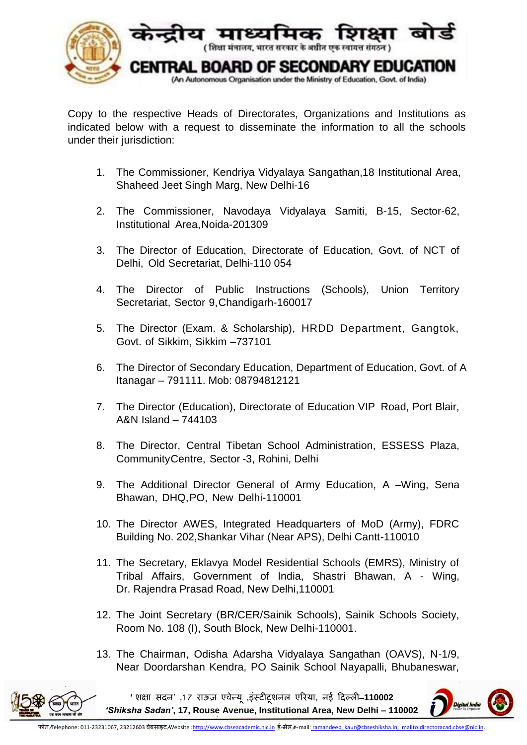

Copy to the respective Heads of Directorates, Organizations and Institutions as indicated below with a request to disseminate the information to all the schools under their jurisdiction:

- 1. The Commissioner, Kendriya Vidyalaya Sangathan,18 Institutional Area, Shaheed Jeet Singh Marg, New Delhi-16
- 2. 5The Commissioner, Navodaya Vidyalaya Samiti, B-15, Sector-62, Institutional Area,Noida-201309
- 3. The Director of Education, Directorate of Education, Govt. of NCT of Delhi, Old Secretariat, Delhi-110 054
- 4. 7The Director of Public Instructions (Schools), Union Territory Secretariat, Sector 9,Chandigarh-160017
- 5. The Director (Exam. & Scholarship), HRDD Department, Gangtok, Govt. of Sikkim, Sikkim –737101
- 6. The Director of Secondary Education, Department of Education, Govt. of A Itanagar – 791111. Mob: 08794812121
- 7. 1 The Director (Education), Directorate of Education VIP Road, Port Blair, 0 A&N Island – 744103
- 8. 1 The Director, Central Tibetan School Administration, ESSESS Plaza, 1 CommunityCentre, Sector -3, Rohini, Delhi
- 9. The Additional Director General of Army Education, A –Wing, Sena 2 Bhawan, DHQ,PO, New Delhi-110001
- 10.1 The Director AWES, Integrated Headquarters of MoD (Army), FDRC 3 Building No. 202,Shankar Vihar (Near APS), Delhi Cantt-110010
- 11. The Secretary, Eklavya Model Residential Schools (EMRS), Ministry of Tribal Affairs, Government of India, Shastri [Bhawan,](http://tribal.gov.in/) A - Wing, Dr. Rajendra Prasad Road, New [Delhi,110001](http://tribal.gov.in/)
- 12. The Joint Secretary (BR/CER/Sainik Schools), Sainik Schools Society, Room No. 108 (I), South Block, New Delhi-110001.
- 13. The Chairman, Odisha Adarsha Vidyalaya Sangathan (OAVS), N-1/9, Near Doordarshan Kendra, PO Sainik School Nayapalli, Bhubaneswar,



**'शिक्षा सदन' ,1 7 राऊज़ एवेन्यू ,इंस्टीटूिनल एररया, नई ददल्ली**–**110002**  *'Shiksha Sadan'***, 17, Rouse Avenue, Institutional Area, New Delhi – 110002**